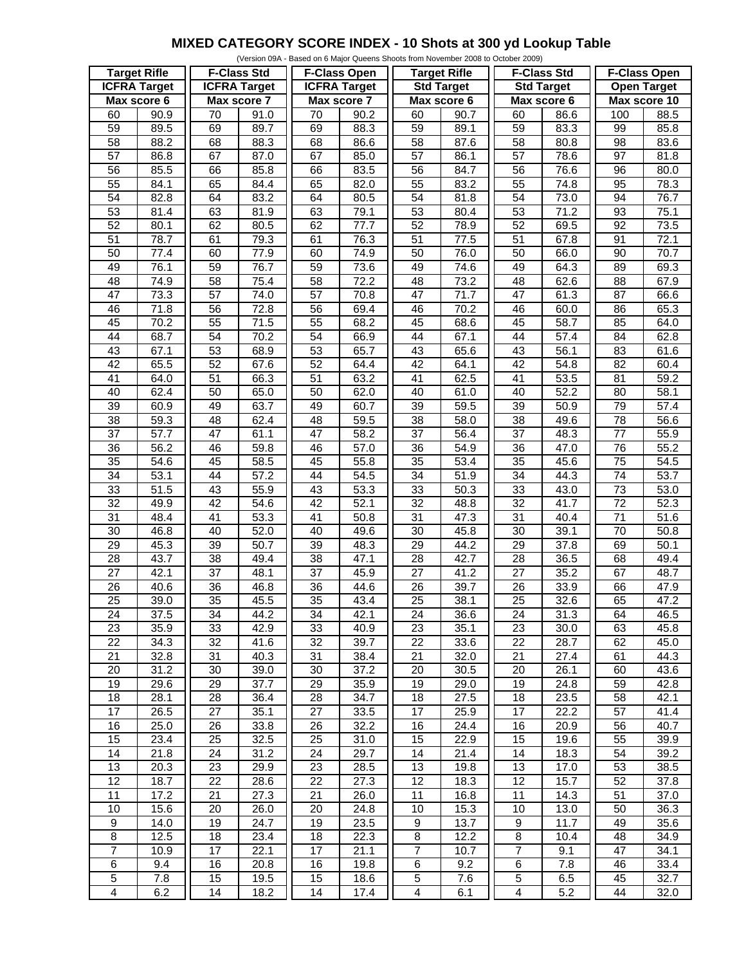## **MIXED CATEGORY SCORE INDEX - 10 Shots at 300 yd Lookup Table**

|                         |                   |                     |                   |                     |                  | (Version 09A - Based on 6 Major Queens Shoots from November 2008 to October 2009) |      |                         |                   |                     |                   |
|-------------------------|-------------------|---------------------|-------------------|---------------------|------------------|-----------------------------------------------------------------------------------|------|-------------------------|-------------------|---------------------|-------------------|
| <b>Target Rifle</b>     |                   | <b>F-Class Std</b>  |                   | <b>F-Class Open</b> |                  | <b>Target Rifle</b>                                                               |      | <b>F-Class Std</b>      |                   | <b>F-Class Open</b> |                   |
| <b>ICFRA Target</b>     |                   | <b>ICFRA Target</b> |                   | <b>ICFRA</b> Target |                  | <b>Std Target</b>                                                                 |      | <b>Std Target</b>       |                   | <b>Open Target</b>  |                   |
| Max score 6             |                   | Max score 7         |                   | Max score 7         |                  | Max score 6                                                                       |      | Max score 6             |                   | Max score 10        |                   |
| 60                      | 90.9              | 70                  | 91.0              | 70                  | 90.2             | 60                                                                                | 90.7 | 60                      | 86.6              | 100                 | 88.5              |
| 59                      | 89.5              | 69                  | 89.7              | 69                  | 88.3             | $\overline{59}$                                                                   | 89.1 | 59                      | 83.3              | 99                  | 85.8              |
| 58                      | 88.2              | 68                  | 88.3              | 68                  | 86.6             | 58                                                                                | 87.6 | 58                      | 80.8              | 98                  | 83.6              |
| $\overline{57}$         | 86.8              | 67                  | 87.0              | 67                  | 85.0             | $\overline{57}$                                                                   | 86.1 | $\overline{57}$         | 78.6              | $\overline{97}$     | 81.8              |
|                         |                   |                     |                   |                     |                  |                                                                                   |      |                         |                   |                     |                   |
| 56                      | 85.5              | 66                  | 85.8              | 66                  | 83.5             | 56                                                                                | 84.7 | 56                      | 76.6              | 96                  | 80.0              |
| 55                      | 84.1              | 65                  | 84.4              | 65                  | 82.0             | 55                                                                                | 83.2 | 55                      | 74.8              | 95                  | 78.3              |
| 54                      | 82.8              | 64                  | 83.2              | 64                  | 80.5             | 54                                                                                | 81.8 | 54                      | 73.0              | 94                  | 76.7              |
| 53                      | 81.4              | 63                  | 81.9              | 63                  | 79.1             | 53                                                                                | 80.4 | 53                      | 71.2              | 93                  | 75.1              |
| 52                      | 80.1              | 62                  | 80.5              | 62                  | $\frac{1}{77.7}$ | 52                                                                                | 78.9 | $\overline{52}$         | 69.5              | $\overline{92}$     | 73.5              |
| $\overline{51}$         | 78.7              | 61                  | 79.3              | 61                  | 76.3             | $\overline{51}$                                                                   | 77.5 | $\overline{51}$         | 67.8              | 91                  | 72.1              |
| 50                      | 77.4              | 60                  | 77.9              | 60                  | 74.9             | 50                                                                                | 76.0 | 50                      | 66.0              | 90                  | 70.7              |
| 49                      | 76.1              | 59                  | 76.7              | 59                  | 73.6             | 49                                                                                | 74.6 | 49                      | 64.3              | 89                  | 69.3              |
| 48                      | 74.9              | 58                  | 75.4              | 58                  | 72.2             | 48                                                                                | 73.2 | 48                      | 62.6              | 88                  | 67.9              |
| 47                      | 73.3              | 57                  | 74.0              | $\overline{57}$     | 70.8             | $\overline{47}$                                                                   | 71.7 | 47                      | 61.3              | $\overline{87}$     | 66.6              |
| 46                      | 71.8              | 56                  | 72.8              | $\overline{56}$     | 69.4             | 46                                                                                | 70.2 | 46                      | 60.0              | 86                  | 65.3              |
| 45                      | 70.2              | 55                  | 71.5              | 55                  | 68.2             | 45                                                                                | 68.6 | 45                      | 58.7              | 85                  | 64.0              |
| 44                      | 68.7              | $\overline{54}$     | 70.2              | $\overline{54}$     | 66.9             | 44                                                                                | 67.1 | 44                      | 57.4              | 84                  | 62.8              |
|                         |                   |                     |                   |                     |                  |                                                                                   |      |                         |                   |                     |                   |
| 43                      | 67.1              | 53                  | 68.9              | 53                  | 65.7             | 43                                                                                | 65.6 | 43                      | 56.1              | 83                  | 61.6              |
| 42                      | 65.5              | 52                  | 67.6              | 52                  | 64.4             | $\overline{42}$                                                                   | 64.1 | $\overline{42}$         | 54.8              | $\overline{82}$     | 60.4              |
| $\overline{41}$         | 64.0              | 51                  | 66.3              | 51                  | 63.2             | $\overline{41}$                                                                   | 62.5 | 41                      | 53.5              | 81                  | 59.2              |
| 40                      | 62.4              | $\overline{50}$     | 65.0              | 50                  | 62.0             | 40                                                                                | 61.0 | 40                      | 52.2              | 80                  | 58.1              |
| $\overline{39}$         | 60.9              | 49                  | 63.7              | 49                  | 60.7             | $\overline{39}$                                                                   | 59.5 | $\overline{39}$         | 50.9              | 79                  | 57.4              |
| 38                      | 59.3              | 48                  | 62.4              | 48                  | 59.5             | 38                                                                                | 58.0 | 38                      | 49.6              | 78                  | 56.6              |
| $\overline{37}$         | $\overline{57.7}$ | 47                  | 61.1              | $\overline{47}$     | 58.2             | $\overline{37}$                                                                   | 56.4 | $\overline{37}$         | 48.3              | $\overline{77}$     | 55.9              |
| $\overline{36}$         | 56.2              | 46                  | 59.8              | 46                  | 57.0             | 36                                                                                | 54.9 | $\overline{36}$         | 47.0              | $\overline{76}$     | 55.2              |
| 35                      | 54.6              | 45                  | 58.5              | 45                  | 55.8             | 35                                                                                | 53.4 | 35                      | 45.6              | $\overline{75}$     | 54.5              |
| 34                      | 53.1              | 44                  | $\overline{57.2}$ | 44                  | 54.5             | $\overline{34}$                                                                   | 51.9 | $\overline{34}$         | 44.3              | $\overline{74}$     | $\overline{53.7}$ |
| 33                      | 51.5              | 43                  | 55.9              | 43                  | 53.3             | 33                                                                                | 50.3 | 33                      | 43.0              | 73                  | 53.0              |
| $\overline{32}$         | 49.9              | 42                  | 54.6              | 42                  | 52.1             | $\overline{32}$                                                                   | 48.8 | $\overline{32}$         | 41.7              | $\overline{72}$     | 52.3              |
| 31                      | 48.4              | $\overline{41}$     | 53.3              | 41                  | 50.8             | 31                                                                                | 47.3 | 31                      | 40.4              | $\overline{71}$     | 51.6              |
|                         |                   |                     |                   |                     |                  |                                                                                   |      |                         |                   |                     |                   |
| 30                      | 46.8              | 40                  | $\frac{1}{52.0}$  | 40                  | 49.6             | $\overline{30}$                                                                   | 45.8 | $\overline{30}$         | 39.1              | 70                  | 50.8              |
| $\overline{29}$         | 45.3              | $\overline{39}$     | 50.7              | $\overline{39}$     | 48.3             | $\overline{29}$                                                                   | 44.2 | $\overline{29}$         | $\overline{37.8}$ | 69                  | 50.1              |
| 28                      | 43.7              | 38                  | 49.4              | 38                  | 47.1             | 28                                                                                | 42.7 | 28                      | 36.5              | 68                  | 49.4              |
| $\overline{27}$         | 42.1              | $\overline{37}$     | 48.1              | $\overline{37}$     | 45.9             | $\overline{27}$                                                                   | 41.2 | $\overline{27}$         | 35.2              | 67                  | 48.7              |
| $\overline{26}$         | 40.6              | $\overline{36}$     | 46.8              | $\overline{36}$     | 44.6             | $\overline{26}$                                                                   | 39.7 | $\overline{26}$         | 33.9              | 66                  | 47.9              |
| $\overline{25}$         | 39.0              | $\overline{35}$     | 45.5              | $\overline{35}$     | 43.4             | $\overline{25}$                                                                   | 38.1 | $\overline{25}$         | 32.6              | 65                  | 47.2              |
| 24                      | 37.5              | 34                  | $44.\overline{2}$ | 34                  | 42.1             | 24                                                                                | 36.6 | 24                      | 31.3              | 64                  | 46.5              |
| 23                      | 35.9              | 33                  | 42.9              | 33                  | 40.9             | 23                                                                                | 35.1 | 23                      | 30.0              | 63                  | 45.8              |
| 22                      | 34.3              | 32                  | 41.6              | 32                  | 39.7             | 22                                                                                | 33.6 | 22                      | 28.7              | 62                  | 45.0              |
| 21                      | 32.8              | 31                  | 40.3              | 31                  | 38.4             | 21                                                                                | 32.0 | 21                      | 27.4              | 61                  | 44.3              |
| 20                      | 31.2              | 30                  | 39.0              | 30                  | 37.2             | 20                                                                                | 30.5 | 20                      | 26.1              | 60                  | 43.6              |
| 19                      | 29.6              | 29                  | 37.7              | 29                  | 35.9             | 19                                                                                | 29.0 | 19                      | 24.8              | 59                  | 42.8              |
| 18                      | 28.1              | 28                  | 36.4              | 28                  | 34.7             | 18                                                                                | 27.5 | 18                      | 23.5              | 58                  | 42.1              |
| $\overline{17}$         | 26.5              | 27                  | 35.1              | 27                  | 33.5             | 17                                                                                | 25.9 | 17                      | $22.\overline{2}$ | 57                  | 41.4              |
|                         |                   |                     |                   |                     |                  |                                                                                   |      |                         |                   |                     |                   |
| 16                      | 25.0              | 26                  | 33.8              | 26                  | 32.2             | 16                                                                                | 24.4 | 16                      | 20.9              | 56                  | 40.7              |
| 15                      | 23.4              | 25                  | 32.5              | 25                  | 31.0             | 15                                                                                | 22.9 | 15                      | 19.6              | 55                  | 39.9              |
| 14                      | 21.8              | 24                  | 31.2              | 24                  | 29.7             | 14                                                                                | 21.4 | 14                      | 18.3              | 54                  | 39.2              |
| 13                      | 20.3              | 23                  | 29.9              | 23                  | 28.5             | 13                                                                                | 19.8 | 13                      | 17.0              | 53                  | 38.5              |
| 12                      | 18.7              | 22                  | 28.6              | 22                  | 27.3             | 12                                                                                | 18.3 | 12                      | 15.7              | 52                  | 37.8              |
| 11                      | 17.2              | 21                  | 27.3              | 21                  | 26.0             | 11                                                                                | 16.8 | 11                      | 14.3              | 51                  | 37.0              |
| 10                      | 15.6              | 20                  | 26.0              | 20                  | 24.8             | 10                                                                                | 15.3 | 10                      | 13.0              | 50                  | 36.3              |
| $\boldsymbol{9}$        | $\overline{1}4.0$ | 19                  | 24.7              | 19                  | 23.5             | 9                                                                                 | 13.7 | 9                       | 11.7              | 49                  | 35.6              |
| $\bf 8$                 | 12.5              | 18                  | 23.4              | 18                  | 22.3             | 8                                                                                 | 12.2 | 8                       | 10.4              | 48                  | 34.9              |
| $\overline{7}$          | 10.9              | 17                  | 22.1              | 17                  | 21.1             | $\overline{7}$                                                                    | 10.7 | $\overline{7}$          | 9.1               | 47                  | 34.1              |
| $\,6\,$                 | 9.4               | 16                  | 20.8              | 16                  | 19.8             | 6                                                                                 | 9.2  | 6                       | 7.8               | 46                  | 33.4              |
| $\mathbf 5$             | 7.8               | 15                  | 19.5              | 15                  | 18.6             | 5                                                                                 | 7.6  | 5                       | 6.5               | 45                  | 32.7              |
|                         |                   |                     |                   |                     |                  |                                                                                   |      |                         |                   |                     |                   |
| $\overline{\mathbf{4}}$ | 6.2               | 14                  | 18.2              | 14                  | 17.4             | $\overline{\mathbf{4}}$                                                           | 6.1  | $\overline{\mathbf{4}}$ | 5.2               | 44                  | 32.0              |